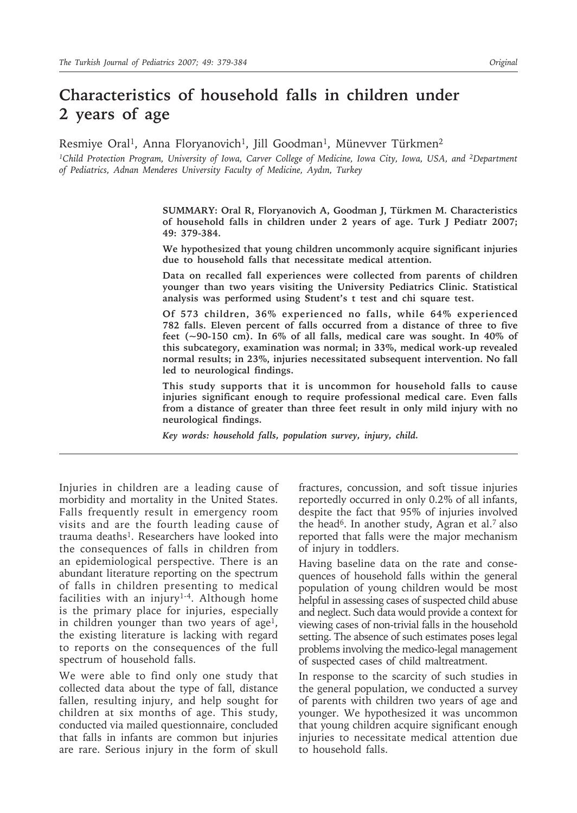# **Characteristics of household falls in children under 2 years of age**

Resmiye Oral<sup>1</sup>, Anna Floryanovich<sup>1</sup>, Jill Goodman<sup>1</sup>, Münevver Türkmen<sup>2</sup>

<sup>1</sup>Child Protection Program, University of Iowa, Carver College of Medicine, Iowa City, Iowa, USA, and <sup>2</sup>Department *of Pediatrics, Adnan Menderes University Faculty of Medicine, Aydın, Turkey*

> **SUMMARY: Oral R, Floryanovich A, Goodman J, Türkmen M. Characteristics of household falls in children under 2 years of age. Turk J Pediatr 2007; 49: 379-384.**

> **We hypothesized that young children uncommonly acquire significant injuries due to household falls that necessitate medical attention.**

> **Data on recalled fall experiences were collected from parents of children younger than two years visiting the University Pediatrics Clinic. Statistical analysis was performed using Student's t test and chi square test.**

> **Of 573 children, 36% experienced no falls, while 64% experienced 782 falls. Eleven percent of falls occurred from a distance of three to five feet (~90-150 cm). In 6% of all falls, medical care was sought. In 40% of this subcategory, examination was normal; in 33%, medical work-up revealed normal results; in 23%, injuries necessitated subsequent intervention. No fall led to neurological findings.**

> **This study supports that it is uncommon for household falls to cause injuries significant enough to require professional medical care. Even falls from a distance of greater than three feet result in only mild injury with no neurological findings.**

*Key words: household falls, population survey, injury, child.*

Injuries in children are a leading cause of morbidity and mortality in the United States. Falls frequently result in emergency room visits and are the fourth leading cause of trauma deaths<sup>1</sup>. Researchers have looked into the consequences of falls in children from an epidemiological perspective. There is an abundant literature reporting on the spectrum of falls in children presenting to medical facilities with an injury<sup>1-4</sup>. Although home is the primary place for injuries, especially in children younger than two years of age<sup>1</sup>, the existing literature is lacking with regard to reports on the consequences of the full spectrum of household falls.

We were able to find only one study that collected data about the type of fall, distance fallen, resulting injury, and help sought for children at six months of age. This study, conducted via mailed questionnaire, concluded that falls in infants are common but injuries are rare. Serious injury in the form of skull

fractures, concussion, and soft tissue injuries reportedly occurred in only 0.2% of all infants, despite the fact that 95% of injuries involved the head6. In another study, Agran et al.7 also reported that falls were the major mechanism of injury in toddlers.

Having baseline data on the rate and consequences of household falls within the general population of young children would be most helpful in assessing cases of suspected child abuse and neglect. Such data would provide a context for viewing cases of non-trivial falls in the household setting. The absence of such estimates poses legal problems involving the medico-legal management of suspected cases of child maltreatment.

In response to the scarcity of such studies in the general population, we conducted a survey of parents with children two years of age and younger. We hypothesized it was uncommon that young children acquire significant enough injuries to necessitate medical attention due to household falls.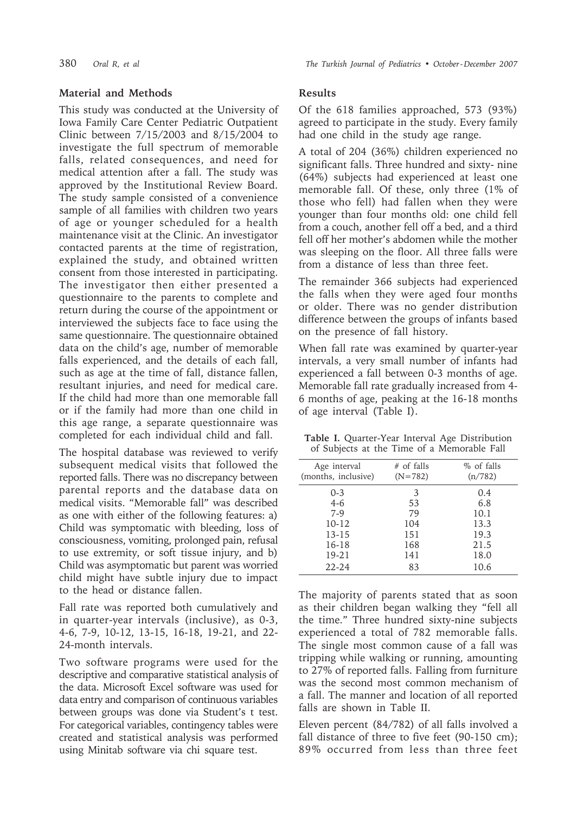### **Material and Methods**

This study was conducted at the University of Iowa Family Care Center Pediatric Outpatient Clinic between 7/15/2003 and 8/15/2004 to investigate the full spectrum of memorable falls, related consequences, and need for medical attention after a fall. The study was approved by the Institutional Review Board. The study sample consisted of a convenience sample of all families with children two years of age or younger scheduled for a health maintenance visit at the Clinic. An investigator contacted parents at the time of registration, explained the study, and obtained written consent from those interested in participating. The investigator then either presented a questionnaire to the parents to complete and return during the course of the appointment or interviewed the subjects face to face using the same questionnaire. The questionnaire obtained data on the child's age, number of memorable falls experienced, and the details of each fall, such as age at the time of fall, distance fallen, resultant injuries, and need for medical care. If the child had more than one memorable fall or if the family had more than one child in this age range, a separate questionnaire was completed for each individual child and fall.

The hospital database was reviewed to verify subsequent medical visits that followed the reported falls. There was no discrepancy between parental reports and the database data on medical visits. "Memorable fall" was described as one with either of the following features: a) Child was symptomatic with bleeding, loss of consciousness, vomiting, prolonged pain, refusal to use extremity, or soft tissue injury, and b) Child was asymptomatic but parent was worried child might have subtle injury due to impact to the head or distance fallen.

Fall rate was reported both cumulatively and in quarter-year intervals (inclusive), as 0-3, 4-6, 7-9, 10-12, 13-15, 16-18, 19-21, and 22- 24-month intervals.

Two software programs were used for the descriptive and comparative statistical analysis of the data. Microsoft Excel software was used for data entry and comparison of continuous variables between groups was done via Student's t test. For categorical variables, contingency tables were created and statistical analysis was performed using Minitab software via chi square test.

### **Results**

Of the 618 families approached, 573 (93%) agreed to participate in the study. Every family had one child in the study age range.

A total of 204 (36%) children experienced no significant falls. Three hundred and sixty- nine (64%) subjects had experienced at least one memorable fall. Of these, only three (1% of those who fell) had fallen when they were younger than four months old: one child fell from a couch, another fell off a bed, and a third fell off her mother's abdomen while the mother was sleeping on the floor. All three falls were from a distance of less than three feet.

The remainder 366 subjects had experienced the falls when they were aged four months or older. There was no gender distribution difference between the groups of infants based on the presence of fall history.

When fall rate was examined by quarter-year intervals, a very small number of infants had experienced a fall between 0-3 months of age. Memorable fall rate gradually increased from 4- 6 months of age, peaking at the 16-18 months of age interval (Table I).

**Table I.** Quarter-Year Interval Age Distribution of Subjects at the Time of a Memorable Fall

| Age interval<br>(months, inclusive) | # of falls<br>$(N=782)$ | % of falls<br>(n/782) |
|-------------------------------------|-------------------------|-----------------------|
| $0 - 3$                             | 3                       | 0.4                   |
| $4-6$                               | 53                      | 6.8                   |
| $7-9$                               | 79                      | 10.1                  |
| $10 - 12$                           | 104                     | 13.3                  |
| $13 - 15$                           | 151                     | 19.3                  |
| 16-18                               | 168                     | 21.5                  |
| 19-21                               | 141                     | 18.0                  |
| $22 - 24$                           | 83                      | 10.6                  |
|                                     |                         |                       |

The majority of parents stated that as soon as their children began walking they "fell all the time." Three hundred sixty-nine subjects experienced a total of 782 memorable falls. The single most common cause of a fall was tripping while walking or running, amounting to 27% of reported falls. Falling from furniture was the second most common mechanism of a fall. The manner and location of all reported falls are shown in Table II.

Eleven percent (84/782) of all falls involved a fall distance of three to five feet (90-150 cm); 89% occurred from less than three feet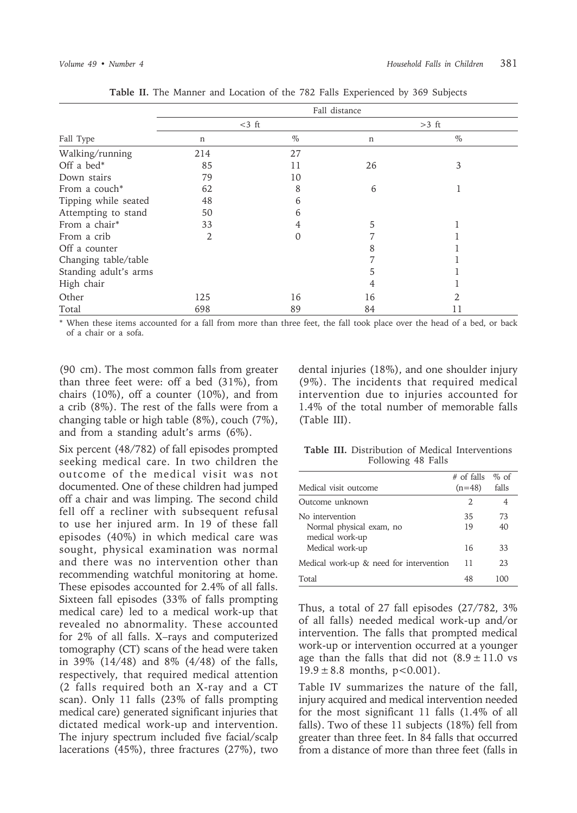|                       | Fall distance  |                  |         |      |
|-----------------------|----------------|------------------|---------|------|
|                       | $<$ 3 ft       |                  | $>3$ ft |      |
| Fall Type             | n              | $\%$             | n       | $\%$ |
| Walking/running       | 214            | 27               |         |      |
| Off a bed $*$         | 85             | 11               | 26      | 3    |
| Down stairs           | 79             | 10               |         |      |
| From a couch*         | 62             | 8                | 6       |      |
| Tipping while seated  | 48             | 6                |         |      |
| Attempting to stand   | 50             | 6                |         |      |
| From a chair*         | 33             | 4                | 5       |      |
| From a crib           | $\overline{2}$ | $\left( \right)$ |         |      |
| Off a counter         |                |                  | 8       |      |
| Changing table/table  |                |                  |         |      |
| Standing adult's arms |                |                  |         |      |
| High chair            |                |                  | 4       |      |
| Other                 | 125            | 16               | 16      |      |
| Total                 | 698            | 89               | 84      |      |

**Table II.** The Manner and Location of the 782 Falls Experienced by 369 Subjects

\* When these items accounted for a fall from more than three feet, the fall took place over the head of a bed, or back of a chair or a sofa.

(90 cm). The most common falls from greater than three feet were: off a bed (31%), from chairs (10%), off a counter (10%), and from a crib (8%). The rest of the falls were from a changing table or high table (8%), couch (7%), and from a standing adult's arms (6%).

Six percent (48/782) of fall episodes prompted seeking medical care. In two children the outcome of the medical visit was not documented. One of these children had jumped off a chair and was limping. The second child fell off a recliner with subsequent refusal to use her injured arm. In 19 of these fall episodes (40%) in which medical care was sought, physical examination was normal and there was no intervention other than recommending watchful monitoring at home. These episodes accounted for 2.4% of all falls. Sixteen fall episodes (33% of falls prompting medical care) led to a medical work-up that revealed no abnormality. These accounted for 2% of all falls. X–rays and computerized tomography (CT) scans of the head were taken in 39% (14/48) and 8% (4/48) of the falls, respectively, that required medical attention (2 falls required both an X-ray and a CT scan). Only 11 falls (23% of falls prompting medical care) generated significant injuries that dictated medical work-up and intervention. The injury spectrum included five facial/scalp lacerations (45%), three fractures (27%), two

dental injuries (18%), and one shoulder injury (9%). The incidents that required medical intervention due to injuries accounted for 1.4% of the total number of memorable falls (Table III).

**Table III.** Distribution of Medical Interventions Following 48 Falls

|                                             | $#$ of falls                | $%$ of |
|---------------------------------------------|-----------------------------|--------|
| Medical visit outcome                       | $(n=48)$                    | falls  |
| Outcome unknown                             | $\mathcal{D}_{\mathcal{L}}$ | 4      |
| No intervention                             | 35                          | 73     |
| Normal physical exam, no<br>medical work-up | 19                          | 40     |
| Medical work-up                             | 16                          | 33     |
| Medical work-up & need for intervention     | 11                          | 23     |
| Total                                       | 48                          | 100    |
|                                             |                             |        |

Thus, a total of 27 fall episodes (27/782, 3% of all falls) needed medical work-up and/or intervention. The falls that prompted medical work-up or intervention occurred at a younger age than the falls that did not  $(8.9 \pm 11.0 \text{ vs }$  $19.9 \pm 8.8$  months, p<0.001).

Table IV summarizes the nature of the fall, injury acquired and medical intervention needed for the most significant 11 falls (1.4% of all falls). Two of these 11 subjects (18%) fell from greater than three feet. In 84 falls that occurred from a distance of more than three feet (falls in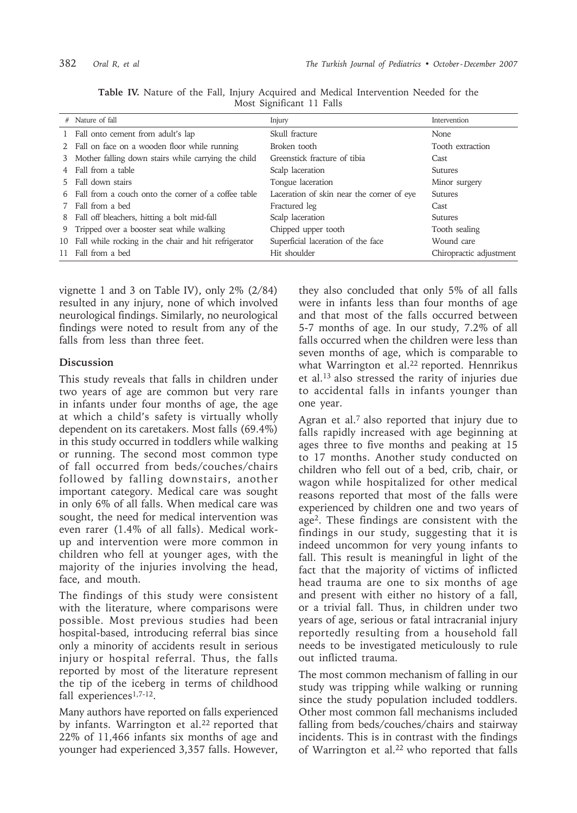|       | # Nature of fall                                        | Injury                                    | Intervention            |
|-------|---------------------------------------------------------|-------------------------------------------|-------------------------|
|       | 1 Fall onto cement from adult's lap                     | Skull fracture                            | <b>None</b>             |
|       | 2 Fall on face on a wooden floor while running          | Broken tooth                              | Tooth extraction        |
| 3     | Mother falling down stairs while carrying the child     | Greenstick fracture of tibia              | Cast.                   |
|       | 4 Fall from a table                                     | Scalp laceration                          | Sutures                 |
| $5 -$ | Fall down stairs                                        | Tongue laceration                         | Minor surgery           |
|       | 6 Fall from a couch onto the corner of a coffee table   | Laceration of skin near the corner of eye | <b>Sutures</b>          |
| 7     | Fall from a bed                                         | Fractured leg                             | Cast.                   |
|       | 8 Fall off bleachers, hitting a bolt mid-fall           | Scalp laceration                          | Sutures                 |
|       | 9 Tripped over a booster seat while walking             | Chipped upper tooth                       | Tooth sealing           |
|       | 10 Fall while rocking in the chair and hit refrigerator | Superficial laceration of the face        | Wound care              |
|       | 11 Fall from a bed                                      | Hit shoulder                              | Chiropractic adjustment |

**Table IV.** Nature of the Fall, Injury Acquired and Medical Intervention Needed for the Most Significant 11 Falls

vignette 1 and 3 on Table IV), only 2% (2/84) resulted in any injury, none of which involved neurological findings. Similarly, no neurological findings were noted to result from any of the falls from less than three feet.

## **Discussion**

This study reveals that falls in children under two years of age are common but very rare in infants under four months of age, the age at which a child's safety is virtually wholly dependent on its caretakers. Most falls (69.4%) in this study occurred in toddlers while walking or running. The second most common type of fall occurred from beds/couches/chairs followed by falling downstairs, another important category. Medical care was sought in only 6% of all falls. When medical care was sought, the need for medical intervention was even rarer (1.4% of all falls). Medical workup and intervention were more common in children who fell at younger ages, with the majority of the injuries involving the head, face, and mouth.

The findings of this study were consistent with the literature, where comparisons were possible. Most previous studies had been hospital-based, introducing referral bias since only a minority of accidents result in serious injury or hospital referral. Thus, the falls reported by most of the literature represent the tip of the iceberg in terms of childhood fall experiences<sup>1,7-12</sup>.

Many authors have reported on falls experienced by infants. Warrington et al.<sup>22</sup> reported that 22% of 11,466 infants six months of age and younger had experienced 3,357 falls. However,

they also concluded that only 5% of all falls were in infants less than four months of age and that most of the falls occurred between 5-7 months of age. In our study, 7.2% of all falls occurred when the children were less than seven months of age, which is comparable to what Warrington et al.<sup>22</sup> reported. Hennrikus et al.13 also stressed the rarity of injuries due to accidental falls in infants younger than one year.

Agran et al.<sup>7</sup> also reported that injury due to falls rapidly increased with age beginning at ages three to five months and peaking at 15 to 17 months. Another study conducted on children who fell out of a bed, crib, chair, or wagon while hospitalized for other medical reasons reported that most of the falls were experienced by children one and two years of age2. These findings are consistent with the findings in our study, suggesting that it is indeed uncommon for very young infants to fall. This result is meaningful in light of the fact that the majority of victims of inflicted head trauma are one to six months of age and present with either no history of a fall, or a trivial fall. Thus, in children under two years of age, serious or fatal intracranial injury reportedly resulting from a household fall needs to be investigated meticulously to rule out inflicted trauma.

The most common mechanism of falling in our study was tripping while walking or running since the study population included toddlers. Other most common fall mechanisms included falling from beds/couches/chairs and stairway incidents. This is in contrast with the findings of Warrington et al.<sup>22</sup> who reported that falls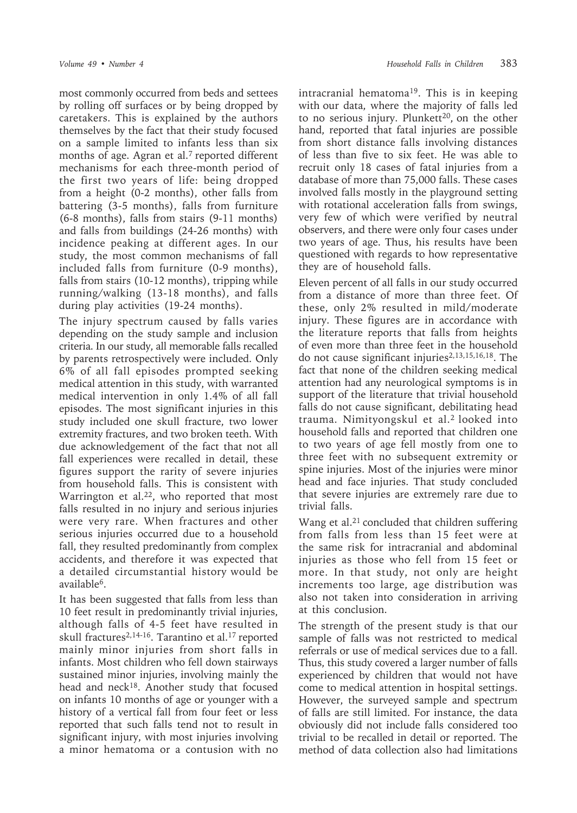most commonly occurred from beds and settees by rolling off surfaces or by being dropped by caretakers. This is explained by the authors themselves by the fact that their study focused on a sample limited to infants less than six months of age. Agran et al.<sup>7</sup> reported different mechanisms for each three-month period of the first two years of life: being dropped from a height (0-2 months), other falls from battering (3-5 months), falls from furniture (6-8 months), falls from stairs (9-11 months) and falls from buildings (24-26 months) with incidence peaking at different ages. In our study, the most common mechanisms of fall included falls from furniture (0-9 months), falls from stairs (10-12 months), tripping while running/walking (13-18 months), and falls during play activities (19-24 months).

The injury spectrum caused by falls varies depending on the study sample and inclusion criteria. In our study, all memorable falls recalled by parents retrospectively were included. Only 6% of all fall episodes prompted seeking medical attention in this study, with warranted medical intervention in only 1.4% of all fall episodes. The most significant injuries in this study included one skull fracture, two lower extremity fractures, and two broken teeth. With due acknowledgement of the fact that not all fall experiences were recalled in detail, these figures support the rarity of severe injuries from household falls. This is consistent with Warrington et al.<sup>22</sup>, who reported that most falls resulted in no injury and serious injuries were very rare. When fractures and other serious injuries occurred due to a household fall, they resulted predominantly from complex accidents, and therefore it was expected that a detailed circumstantial history would be available6.

It has been suggested that falls from less than 10 feet result in predominantly trivial injuries, although falls of 4-5 feet have resulted in skull fractures<sup>2,14-16</sup>. Tarantino et al.<sup>17</sup> reported mainly minor injuries from short falls in infants. Most children who fell down stairways sustained minor injuries, involving mainly the head and neck<sup>18</sup>. Another study that focused on infants 10 months of age or younger with a history of a vertical fall from four feet or less reported that such falls tend not to result in significant injury, with most injuries involving a minor hematoma or a contusion with no

intracranial hematoma19. This is in keeping with our data, where the majority of falls led to no serious injury. Plunkett $20$ , on the other hand, reported that fatal injuries are possible from short distance falls involving distances of less than five to six feet. He was able to recruit only 18 cases of fatal injuries from a database of more than 75,000 falls. These cases involved falls mostly in the playground setting with rotational acceleration falls from swings, very few of which were verified by neutral observers, and there were only four cases under two years of age. Thus, his results have been questioned with regards to how representative they are of household falls.

Eleven percent of all falls in our study occurred from a distance of more than three feet. Of these, only 2% resulted in mild/moderate injury. These figures are in accordance with the literature reports that falls from heights of even more than three feet in the household do not cause significant injuries<sup>2,13,15,16,18</sup>. The fact that none of the children seeking medical attention had any neurological symptoms is in support of the literature that trivial household falls do not cause significant, debilitating head trauma. Nimityongskul et al.2 looked into household falls and reported that children one to two years of age fell mostly from one to three feet with no subsequent extremity or spine injuries. Most of the injuries were minor head and face injuries. That study concluded that severe injuries are extremely rare due to trivial falls.

Wang et al.<sup>21</sup> concluded that children suffering from falls from less than 15 feet were at the same risk for intracranial and abdominal injuries as those who fell from 15 feet or more. In that study, not only are height increments too large, age distribution was also not taken into consideration in arriving at this conclusion.

The strength of the present study is that our sample of falls was not restricted to medical referrals or use of medical services due to a fall. Thus, this study covered a larger number of falls experienced by children that would not have come to medical attention in hospital settings. However, the surveyed sample and spectrum of falls are still limited. For instance, the data obviously did not include falls considered too trivial to be recalled in detail or reported. The method of data collection also had limitations